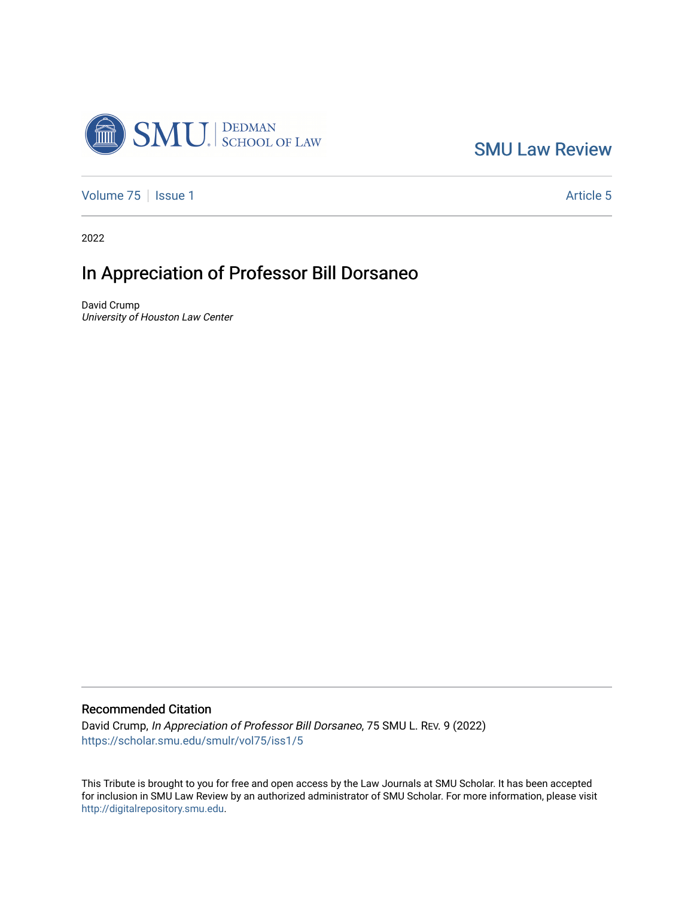

[SMU Law Review](https://scholar.smu.edu/smulr) 

[Volume 75](https://scholar.smu.edu/smulr/vol75) | [Issue 1](https://scholar.smu.edu/smulr/vol75/iss1) Article 5

2022

## In Appreciation of Professor Bill Dorsaneo

David Crump University of Houston Law Center

## Recommended Citation

David Crump, In Appreciation of Professor Bill Dorsaneo, 75 SMU L. REV. 9 (2022) [https://scholar.smu.edu/smulr/vol75/iss1/5](https://scholar.smu.edu/smulr/vol75/iss1/5?utm_source=scholar.smu.edu%2Fsmulr%2Fvol75%2Fiss1%2F5&utm_medium=PDF&utm_campaign=PDFCoverPages) 

This Tribute is brought to you for free and open access by the Law Journals at SMU Scholar. It has been accepted for inclusion in SMU Law Review by an authorized administrator of SMU Scholar. For more information, please visit [http://digitalrepository.smu.edu.](http://digitalrepository.smu.edu/)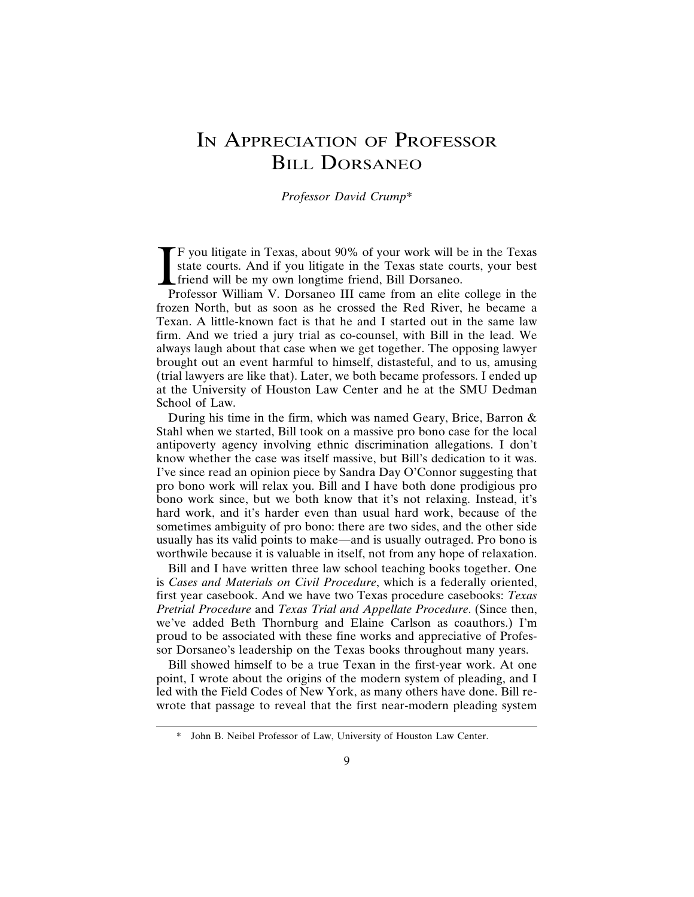## IN APPRECIATION OF PROFESSOR BILL DORSANEO

*Professor David Crump*\*

 $\prod_{P_1}$ F you litigate in Texas, about 90% of your work will be in the Texas state courts. And if you litigate in the Texas state courts, your best friend will be my own longtime friend, Bill Dorsaneo.

Professor William V. Dorsaneo III came from an elite college in the frozen North, but as soon as he crossed the Red River, he became a Texan. A little-known fact is that he and I started out in the same law firm. And we tried a jury trial as co-counsel, with Bill in the lead. We always laugh about that case when we get together. The opposing lawyer brought out an event harmful to himself, distasteful, and to us, amusing (trial lawyers are like that). Later, we both became professors. I ended up at the University of Houston Law Center and he at the SMU Dedman School of Law.

During his time in the firm, which was named Geary, Brice, Barron & Stahl when we started, Bill took on a massive pro bono case for the local antipoverty agency involving ethnic discrimination allegations. I don't know whether the case was itself massive, but Bill's dedication to it was. I've since read an opinion piece by Sandra Day O'Connor suggesting that pro bono work will relax you. Bill and I have both done prodigious pro bono work since, but we both know that it's not relaxing. Instead, it's hard work, and it's harder even than usual hard work, because of the sometimes ambiguity of pro bono: there are two sides, and the other side usually has its valid points to make—and is usually outraged. Pro bono is worthwile because it is valuable in itself, not from any hope of relaxation.

Bill and I have written three law school teaching books together. One is *Cases and Materials on Civil Procedure*, which is a federally oriented, first year casebook. And we have two Texas procedure casebooks: *Texas Pretrial Procedure* and *Texas Trial and Appellate Procedure*. (Since then, we've added Beth Thornburg and Elaine Carlson as coauthors.) I'm proud to be associated with these fine works and appreciative of Professor Dorsaneo's leadership on the Texas books throughout many years.

Bill showed himself to be a true Texan in the first-year work. At one point, I wrote about the origins of the modern system of pleading, and I led with the Field Codes of New York, as many others have done. Bill rewrote that passage to reveal that the first near-modern pleading system

<sup>\*</sup> John B. Neibel Professor of Law, University of Houston Law Center.